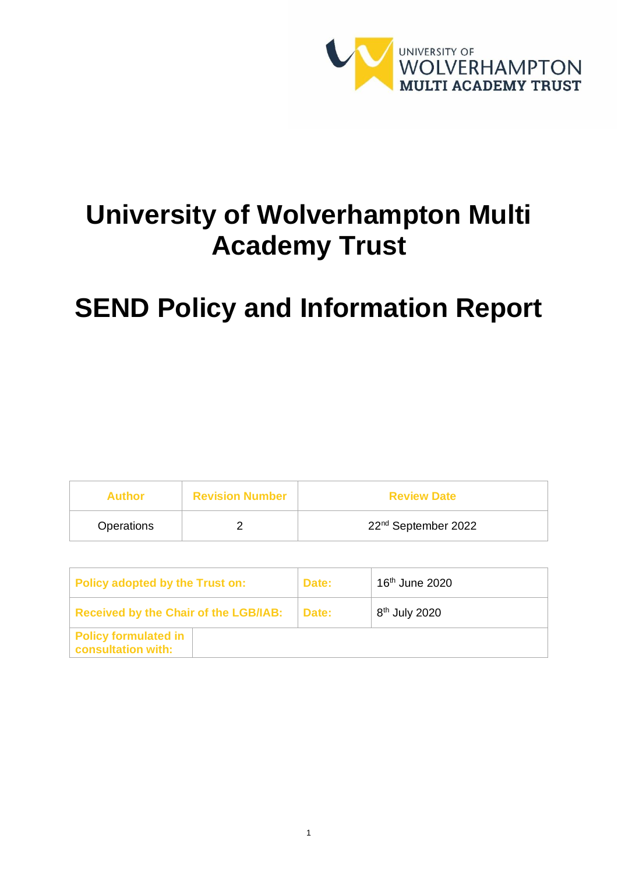

# **University of Wolverhampton Multi Academy Trust**

# **SEND Policy and Information Report**

| Author     | <b>Revision Number</b> | <b>Review Date</b>              |
|------------|------------------------|---------------------------------|
| Operations |                        | 22 <sup>nd</sup> September 2022 |

| Policy adopted by the Trust on:                   | Date: | 16 <sup>th</sup> June 2020 |
|---------------------------------------------------|-------|----------------------------|
| <b>Received by the Chair of the LGB/IAB:</b>      | Date: | 8 <sup>th</sup> July 2020  |
| <b>Policy formulated in</b><br>consultation with: |       |                            |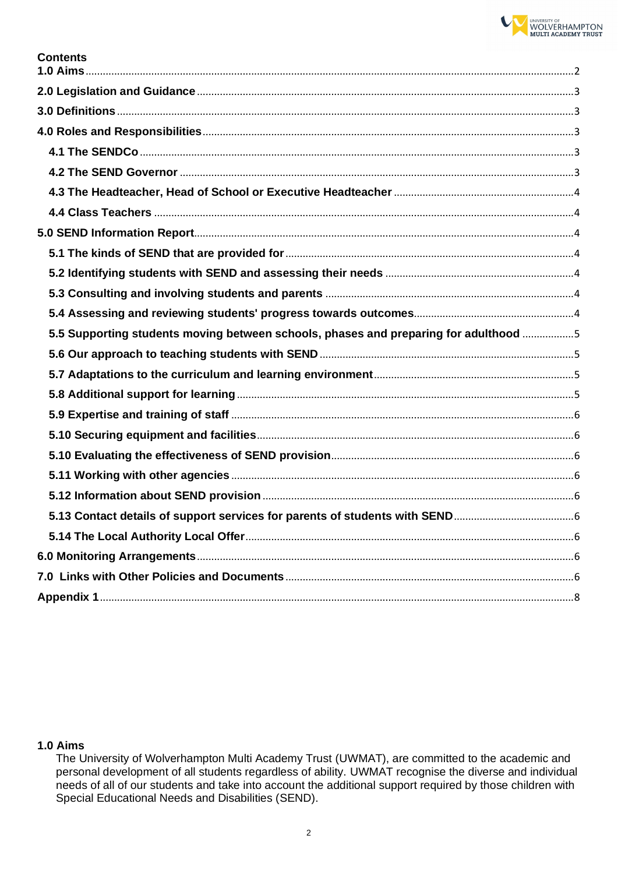

| Contents |  |
|----------|--|
|          |  |

| 5.5 Supporting students moving between schools, phases and preparing for adulthood 5 |  |
|--------------------------------------------------------------------------------------|--|
|                                                                                      |  |
|                                                                                      |  |
|                                                                                      |  |
|                                                                                      |  |
|                                                                                      |  |
|                                                                                      |  |
|                                                                                      |  |
|                                                                                      |  |
|                                                                                      |  |
|                                                                                      |  |
|                                                                                      |  |
|                                                                                      |  |
|                                                                                      |  |

## <span id="page-1-0"></span> $1.0$  Aims

The University of Wolverhampton Multi Academy Trust (UWMAT), are committed to the academic and personal development of all students regardless of ability. UWMAT recognise the diverse and individual needs of all of our students and take into account the additional support required by those children with Special Educational Needs and Disabilities (SEND).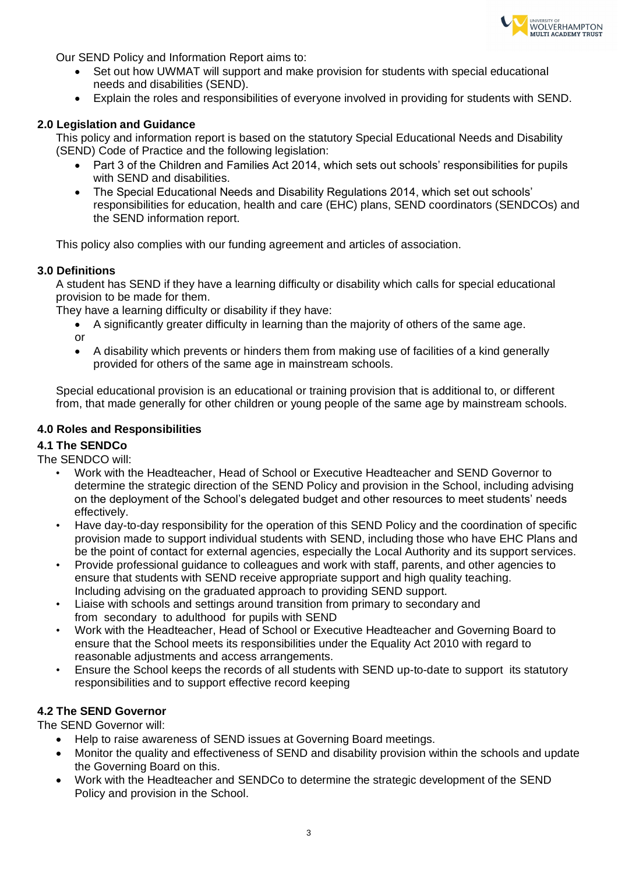

Our SEND Policy and Information Report aims to:

- Set out how UWMAT will support and make provision for students with special educational needs and disabilities (SEND).
- Explain the roles and responsibilities of everyone involved in providing for students with SEND.

#### <span id="page-2-0"></span>**2.0 Legislation and Guidance**

This policy and information report is based on the statutory Special Educational Needs and Disability (SEND) Code of Practice and the following legislation:

- Part 3 of the Children and Families Act 2014, which sets out schools' responsibilities for pupils with SEND and disabilities.
- The Special Educational Needs and Disability Regulations 2014, which set out schools' responsibilities for education, health and care (EHC) plans, SEND coordinators (SENDCOs) and the SEND information report.

This policy also complies with our funding agreement and articles of association.

#### <span id="page-2-1"></span>**3.0 Definitions**

A student has SEND if they have a learning difficulty or disability which calls for special educational provision to be made for them.

They have a learning difficulty or disability if they have:

- A significantly greater difficulty in learning than the majority of others of the same age. or
- A disability which prevents or hinders them from making use of facilities of a kind generally provided for others of the same age in mainstream schools.

Special educational provision is an educational or training provision that is additional to, or different from, that made generally for other children or young people of the same age by mainstream schools.

#### <span id="page-2-2"></span>**4.0 Roles and Responsibilities**

## <span id="page-2-3"></span>**4.1 The SENDCo**

The SENDCO will:

- Work with the Headteacher, Head of School or Executive Headteacher and SEND Governor to determine the strategic direction of the SEND Policy and provision in the School, including advising on the deployment of the School's delegated budget and other resources to meet students' needs effectively.
- Have day-to-day responsibility for the operation of this SEND Policy and the coordination of specific provision made to support individual students with SEND, including those who have EHC Plans and be the point of contact for external agencies, especially the Local Authority and its support services.
- Provide professional guidance to colleagues and work with staff, parents, and other agencies to ensure that students with SEND receive appropriate support and high quality teaching. Including advising on the graduated approach to providing SEND support.
- Liaise with schools and settings around transition from primary to secondary and from secondary to adulthood for pupils with SEND
- Work with the Headteacher, Head of School or Executive Headteacher and Governing Board to ensure that the School meets its responsibilities under the Equality Act 2010 with regard to reasonable adjustments and access arrangements.
- Ensure the School keeps the records of all students with SEND up-to-date to support its statutory responsibilities and to support effective record keeping

## <span id="page-2-4"></span>**4.2 The SEND Governor**

The SEND Governor will:

- Help to raise awareness of SEND issues at Governing Board meetings.
- Monitor the quality and effectiveness of SEND and disability provision within the schools and update the Governing Board on this.
- Work with the Headteacher and SENDCo to determine the strategic development of the SEND Policy and provision in the School.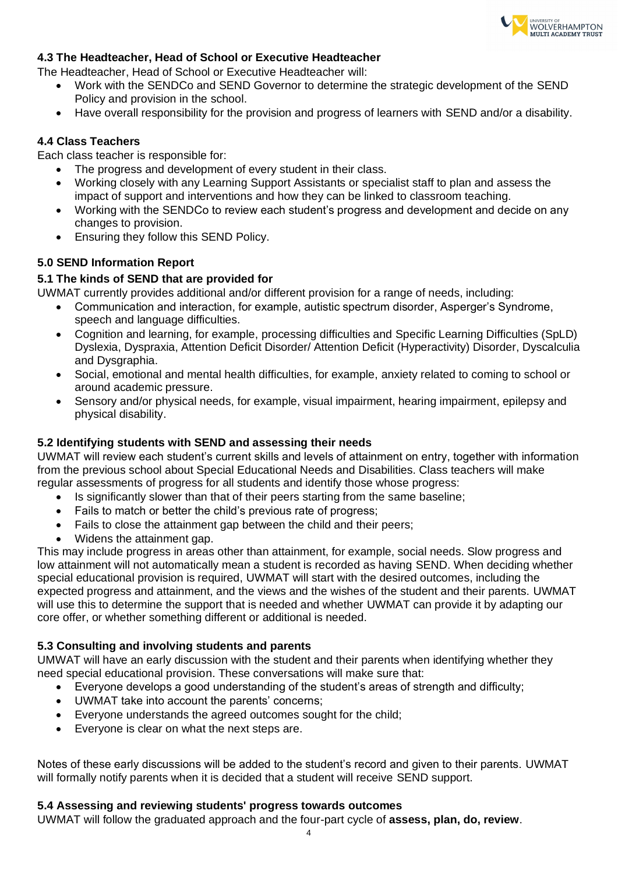

## <span id="page-3-0"></span>**4.3 The Headteacher, Head of School or Executive Headteacher**

The Headteacher, Head of School or Executive Headteacher will:

- Work with the SENDCo and SEND Governor to determine the strategic development of the SEND Policy and provision in the school.
- Have overall responsibility for the provision and progress of learners with SEND and/or a disability.

## <span id="page-3-1"></span>**4.4 Class Teachers**

Each class teacher is responsible for:

- The progress and development of every student in their class.
- Working closely with any Learning Support Assistants or specialist staff to plan and assess the impact of support and interventions and how they can be linked to classroom teaching.
- Working with the SENDCo to review each student's progress and development and decide on any changes to provision.
- Ensuring they follow this SEND Policy.

## <span id="page-3-2"></span>**5.0 SEND Information Report**

## <span id="page-3-3"></span>**5.1 The kinds of SEND that are provided for**

UWMAT currently provides additional and/or different provision for a range of needs, including:

- Communication and interaction, for example, autistic spectrum disorder, Asperger's Syndrome, speech and language difficulties.
- Cognition and learning, for example, processing difficulties and Specific Learning Difficulties (SpLD) Dyslexia, Dyspraxia, Attention Deficit Disorder/ Attention Deficit (Hyperactivity) Disorder, Dyscalculia and Dysgraphia.
- Social, emotional and mental health difficulties, for example, anxiety related to coming to school or around academic pressure.
- Sensory and/or physical needs, for example, visual impairment, hearing impairment, epilepsy and physical disability.

## <span id="page-3-4"></span>**5.2 Identifying students with SEND and assessing their needs**

UWMAT will review each student's current skills and levels of attainment on entry, together with information from the previous school about Special Educational Needs and Disabilities. Class teachers will make regular assessments of progress for all students and identify those whose progress:

- Is significantly slower than that of their peers starting from the same baseline;
- Fails to match or better the child's previous rate of progress;
- Fails to close the attainment gap between the child and their peers;
- Widens the attainment gap.

This may include progress in areas other than attainment, for example, social needs. Slow progress and low attainment will not automatically mean a student is recorded as having SEND. When deciding whether special educational provision is required, UWMAT will start with the desired outcomes, including the expected progress and attainment, and the views and the wishes of the student and their parents. UWMAT will use this to determine the support that is needed and whether UWMAT can provide it by adapting our core offer, or whether something different or additional is needed.

## <span id="page-3-5"></span>**5.3 Consulting and involving students and parents**

UMWAT will have an early discussion with the student and their parents when identifying whether they need special educational provision. These conversations will make sure that:

- Everyone develops a good understanding of the student's areas of strength and difficulty;
- UWMAT take into account the parents' concerns;
- Everyone understands the agreed outcomes sought for the child;
- Everyone is clear on what the next steps are.

Notes of these early discussions will be added to the student's record and given to their parents. UWMAT will formally notify parents when it is decided that a student will receive SEND support.

## <span id="page-3-6"></span>**5.4 Assessing and reviewing students' progress towards outcomes**

UWMAT will follow the graduated approach and the four-part cycle of **assess, plan, do, review**.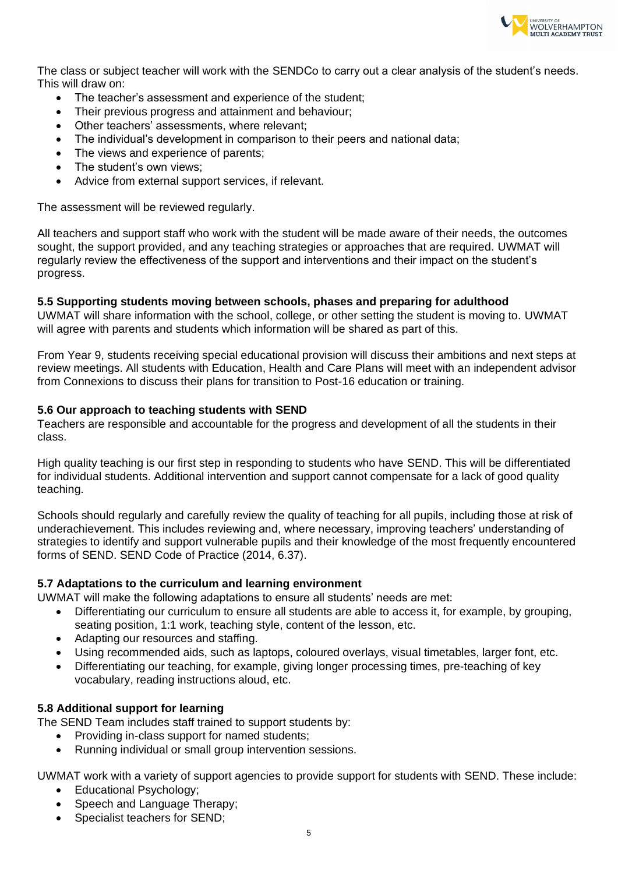

The class or subject teacher will work with the SENDCo to carry out a clear analysis of the student's needs. This will draw on:

- The teacher's assessment and experience of the student;
- Their previous progress and attainment and behaviour;
- Other teachers' assessments, where relevant;
- The individual's development in comparison to their peers and national data;
- The views and experience of parents;
- The student's own views:
- Advice from external support services, if relevant.

The assessment will be reviewed regularly.

All teachers and support staff who work with the student will be made aware of their needs, the outcomes sought, the support provided, and any teaching strategies or approaches that are required. UWMAT will regularly review the effectiveness of the support and interventions and their impact on the student's progress.

#### <span id="page-4-0"></span>**5.5 Supporting students moving between schools, phases and preparing for adulthood**

UWMAT will share information with the school, college, or other setting the student is moving to. UWMAT will agree with parents and students which information will be shared as part of this.

From Year 9, students receiving special educational provision will discuss their ambitions and next steps at review meetings. All students with Education, Health and Care Plans will meet with an independent advisor from Connexions to discuss their plans for transition to Post-16 education or training.

#### <span id="page-4-1"></span>**5.6 Our approach to teaching students with SEND**

Teachers are responsible and accountable for the progress and development of all the students in their class.

High quality teaching is our first step in responding to students who have SEND. This will be differentiated for individual students. Additional intervention and support cannot compensate for a lack of good quality teaching.

Schools should regularly and carefully review the quality of teaching for all pupils, including those at risk of underachievement. This includes reviewing and, where necessary, improving teachers' understanding of strategies to identify and support vulnerable pupils and their knowledge of the most frequently encountered forms of SEND. SEND Code of Practice (2014, 6.37).

#### <span id="page-4-2"></span>**5.7 Adaptations to the curriculum and learning environment**

UWMAT will make the following adaptations to ensure all students' needs are met:

- Differentiating our curriculum to ensure all students are able to access it, for example, by grouping, seating position, 1:1 work, teaching style, content of the lesson, etc.
- Adapting our resources and staffing.
- Using recommended aids, such as laptops, coloured overlays, visual timetables, larger font, etc.
- Differentiating our teaching, for example, giving longer processing times, pre-teaching of key vocabulary, reading instructions aloud, etc.

## <span id="page-4-3"></span>**5.8 Additional support for learning**

The SEND Team includes staff trained to support students by:

- Providing in-class support for named students;
- Running individual or small group intervention sessions.

UWMAT work with a variety of support agencies to provide support for students with SEND. These include:

- Educational Psychology;
- Speech and Language Therapy;
- Specialist teachers for SEND;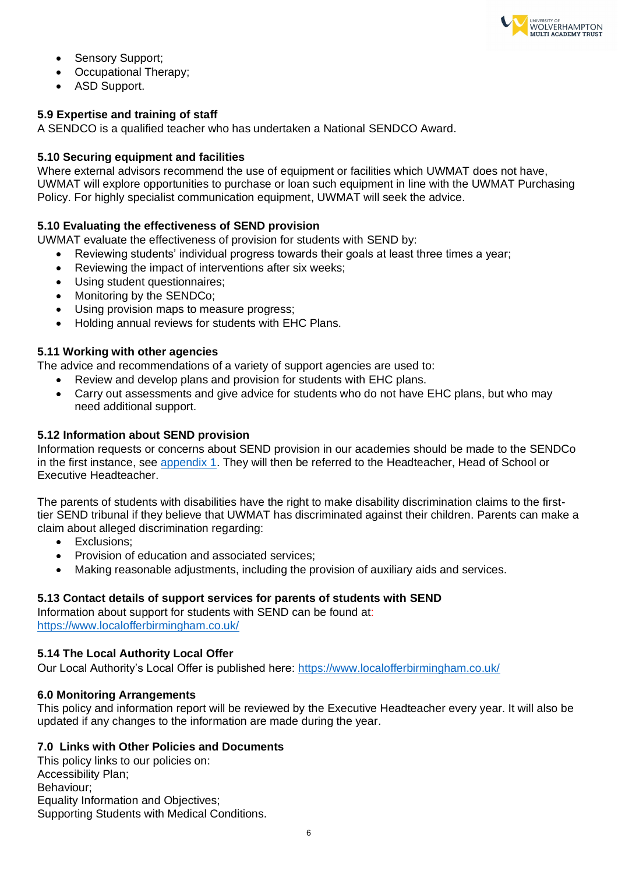

- Sensory Support;
- Occupational Therapy;
- ASD Support.

## <span id="page-5-0"></span>**5.9 Expertise and training of staff**

A SENDCO is a qualified teacher who has undertaken a National SENDCO Award.

## <span id="page-5-1"></span>**5.10 Securing equipment and facilities**

Where external advisors recommend the use of equipment or facilities which UWMAT does not have, UWMAT will explore opportunities to purchase or loan such equipment in line with the UWMAT Purchasing Policy. For highly specialist communication equipment, UWMAT will seek the advice.

## <span id="page-5-2"></span>**5.10 Evaluating the effectiveness of SEND provision**

UWMAT evaluate the effectiveness of provision for students with SEND by:

- Reviewing students' individual progress towards their goals at least three times a year;
- Reviewing the impact of interventions after six weeks;
- Using student questionnaires;
- Monitoring by the SENDCo;
- Using provision maps to measure progress;
- Holding annual reviews for students with EHC Plans.

#### <span id="page-5-3"></span>**5.11 Working with other agencies**

The advice and recommendations of a variety of support agencies are used to:

- Review and develop plans and provision for students with EHC plans.
- Carry out assessments and give advice for students who do not have EHC plans, but who may need additional support.

#### <span id="page-5-4"></span>**5.12 Information about SEND provision**

Information requests or concerns about SEND provision in our academies should be made to the SENDCo in the first instance, see [appendix 1.](#page-7-0) They will then be referred to the Headteacher, Head of School or Executive Headteacher.

The parents of students with disabilities have the right to make disability discrimination claims to the firsttier SEND tribunal if they believe that UWMAT has discriminated against their children. Parents can make a claim about alleged discrimination regarding:

- Exclusions;
- Provision of education and associated services;
- <span id="page-5-7"></span>• Making reasonable adjustments, including the provision of auxiliary aids and services.

## <span id="page-5-5"></span>**5.13 Contact details of support services for parents of students with SEND**

Information about support for students with SEND can be found at: <https://www.localofferbirmingham.co.uk/>

#### <span id="page-5-6"></span>**5.14 The Local Authority Local Offer**

Our Local Authority's Local Offer is published here:<https://www.localofferbirmingham.co.uk/>

#### **6.0 Monitoring Arrangements**

This policy and information report will be reviewed by the Executive Headteacher every year. It will also be updated if any changes to the information are made during the year.

## <span id="page-5-8"></span>**7.0 Links with Other Policies and Documents**

This policy links to our policies on: Accessibility Plan; Behaviour; Equality Information and Objectives; Supporting Students with Medical Conditions.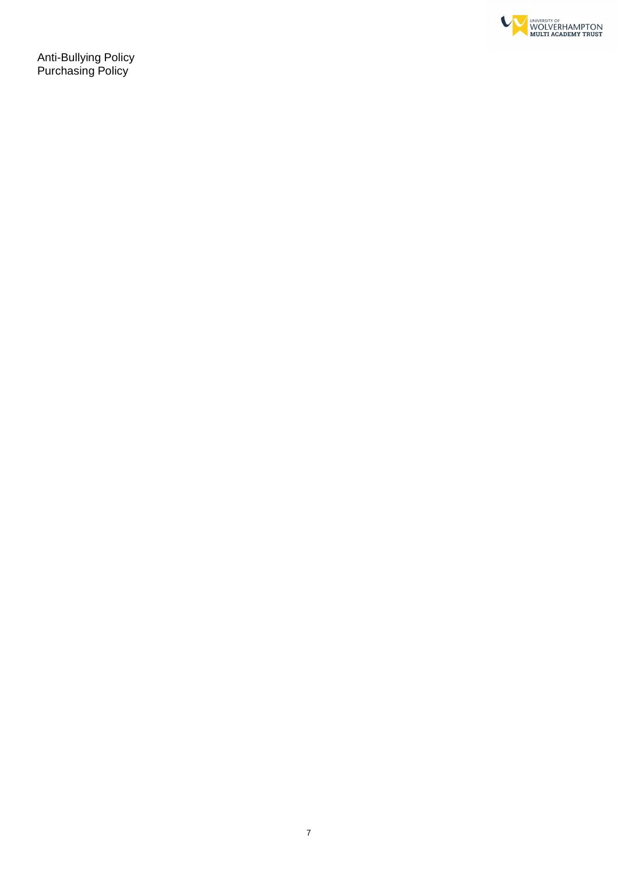

Anti-Bullying Policy Purchasing Policy